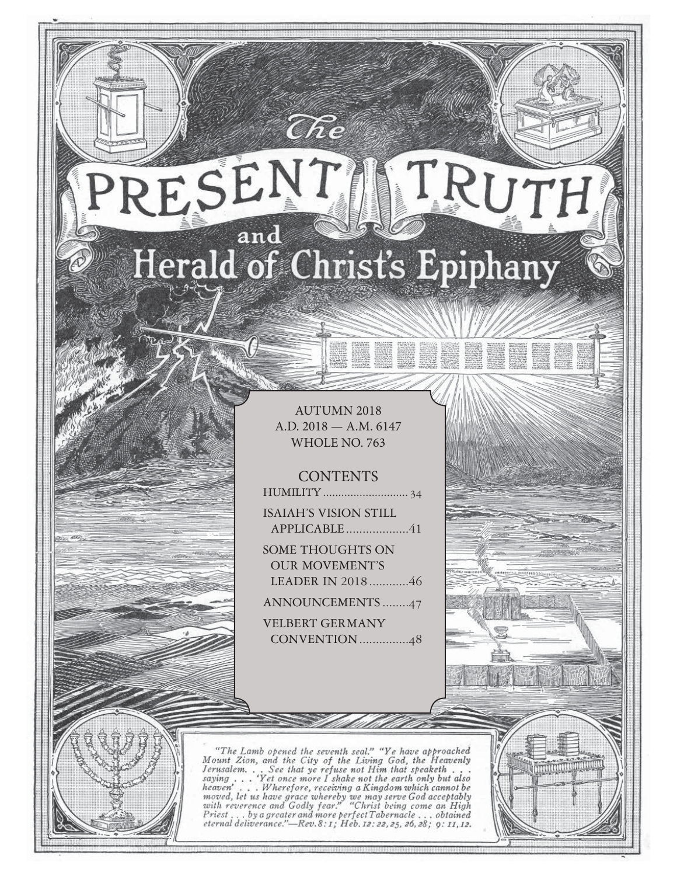# RESENT TRUTH and Herald of Christ's Epiphany

 $\widehat{C}\hspace{-0.6mm}\mathit{\widehat{R}} e$ 

AUTUMN 2018 A.D. 2018 — A.M. 6147 WHOLE NO. 763

88 aan aan

**CONTENTS** 

HUMILITY ............................ 34

ISAIAH'S VISION STILL APPLICABLE ...................41

SOME THOUGHTS ON OUR MOVEMENT'S LEADER IN 2018 ............46

ANNOUNCEMENTS ........47

VELBERT GERMANY CONVENTION ...............48

"The Lamb opened the seventh seal." "Ye have approached Mount Zion, and the City of the Living God, the Heavenly Jerusalem... See that ye refuse not Him that speaketh...<br>saying... 'Yet once more I shake not the earth only serusian... See that ye refuse not fit me in the any but also<br>saying ... Wherefore, receiving a Kingdom which cannot be<br>moved, let us have grace whereby we may serve God acceptably<br>with reverence and Godly fear." "Christ b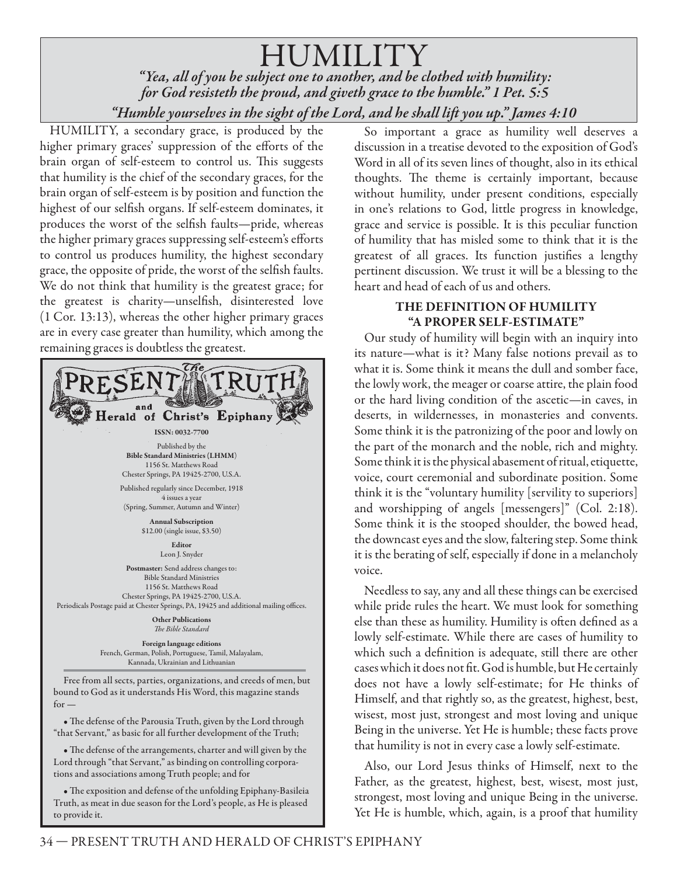HUMILITY  *"Yea, all of you be subject one to another, and be clothed with humility: for God resisteth the proud, and giveth grace to the humble." 1 Pet. 5:5 "Humble yourselves in the sight of the Lord, and he shall lift you up." James 4:10*

HUMILITY, a secondary grace, is produced by the higher primary graces' suppression of the efforts of the brain organ of self-esteem to control us. This suggests that humility is the chief of the secondary graces, for the brain organ of self-esteem is by position and function the highest of our selfish organs. If self-esteem dominates, it produces the worst of the selfish faults—pride, whereas the higher primary graces suppressing self-esteem's efforts to control us produces humility, the highest secondary grace, the opposite of pride, the worst of the selfish faults. We do not think that humility is the greatest grace; for the greatest is charity—unselfish, disinterested love (1 Cor. 13:13), whereas the other higher primary graces are in every case greater than humility, which among the remaining graces is doubtless the greatest.



bound to God as it understands His Word, this magazine stands  $for -$ 

• The defense of the Parousia Truth, given by the Lord through "that Servant," as basic for all further development of the Truth;

• The defense of the arrangements, charter and will given by the Lord through "that Servant," as binding on controlling corporations and associations among Truth people; and for

• The exposition and defense of the unfolding Epiphany-Basileia Truth, as meat in due season for the Lord's people, as He is pleased to provide it.

So important a grace as humility well deserves a discussion in a treatise devoted to the exposition of God's Word in all of its seven lines of thought, also in its ethical thoughts. The theme is certainly important, because without humility, under present conditions, especially in one's relations to God, little progress in knowledge, grace and service is possible. It is this peculiar function of humility that has misled some to think that it is the greatest of all graces. Its function justifies a lengthy pertinent discussion. We trust it will be a blessing to the heart and head of each of us and others.

#### **THE DEFINITION OF HUMILITY "A PROPER SELF-ESTIMATE"**

Our study of humility will begin with an inquiry into its nature—what is it? Many false notions prevail as to what it is. Some think it means the dull and somber face, the lowly work, the meager or coarse attire, the plain food or the hard living condition of the ascetic—in caves, in deserts, in wildernesses, in monasteries and convents. Some think it is the patronizing of the poor and lowly on the part of the monarch and the noble, rich and mighty. Some think it is the physical abasement of ritual, etiquette, voice, court ceremonial and subordinate position. Some think it is the "voluntary humility [servility to superiors] and worshipping of angels [messengers]" (Col. 2:18). Some think it is the stooped shoulder, the bowed head, the downcast eyes and the slow, faltering step. Some think it is the berating of self, especially if done in a melancholy voice.

Needless to say, any and all these things can be exercised while pride rules the heart. We must look for something else than these as humility. Humility is often defined as a lowly self-estimate. While there are cases of humility to which such a definition is adequate, still there are other cases which it does not fit. God is humble, but He certainly does not have a lowly self-estimate; for He thinks of Himself, and that rightly so, as the greatest, highest, best, wisest, most just, strongest and most loving and unique Being in the universe. Yet He is humble; these facts prove that humility is not in every case a lowly self-estimate.

Also, our Lord Jesus thinks of Himself, next to the Father, as the greatest, highest, best, wisest, most just, strongest, most loving and unique Being in the universe. Yet He is humble, which, again, is a proof that humility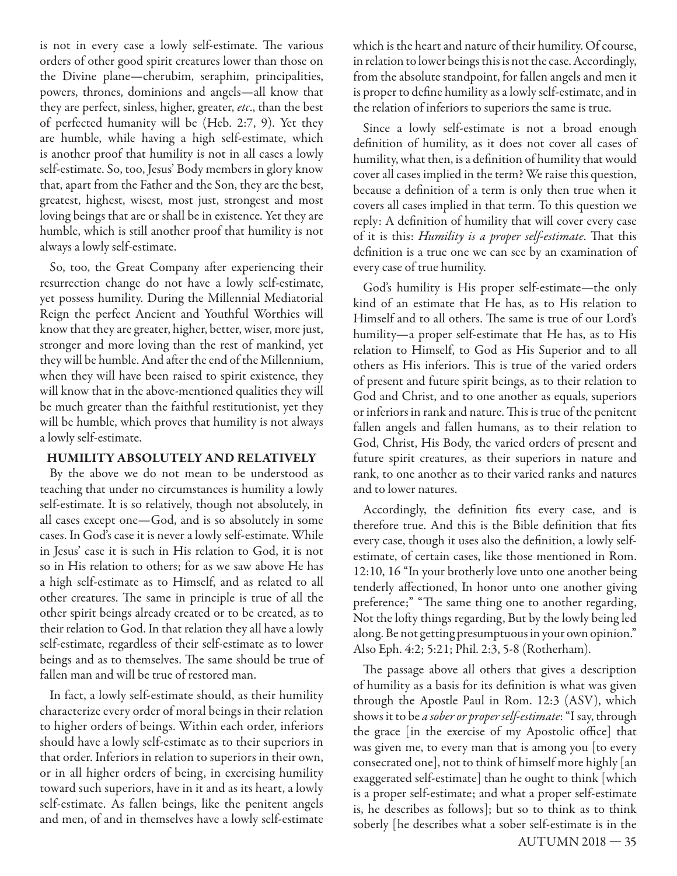is not in every case a lowly self-estimate. The various orders of other good spirit creatures lower than those on the Divine plane—cherubim, seraphim, principalities, powers, thrones, dominions and angels—all know that they are perfect, sinless, higher, greater, *etc*., than the best of perfected humanity will be (Heb. 2:7, 9). Yet they are humble, while having a high self-estimate, which is another proof that humility is not in all cases a lowly self-estimate. So, too, Jesus' Body members in glory know that, apart from the Father and the Son, they are the best, greatest, highest, wisest, most just, strongest and most loving beings that are or shall be in existence. Yet they are humble, which is still another proof that humility is not always a lowly self-estimate.

So, too, the Great Company after experiencing their resurrection change do not have a lowly self-estimate, yet possess humility. During the Millennial Mediatorial Reign the perfect Ancient and Youthful Worthies will know that they are greater, higher, better, wiser, more just, stronger and more loving than the rest of mankind, yet they will be humble. And after the end of the Millennium, when they will have been raised to spirit existence, they will know that in the above-mentioned qualities they will be much greater than the faithful restitutionist, yet they will be humble, which proves that humility is not always a lowly self-estimate.

#### **HUMILITY ABSOLUTELY AND RELATIVELY**

By the above we do not mean to be understood as teaching that under no circumstances is humility a lowly self-estimate. It is so relatively, though not absolutely, in all cases except one—God, and is so absolutely in some cases. In God's case it is never a lowly self-estimate. While in Jesus' case it is such in His relation to God, it is not so in His relation to others; for as we saw above He has a high self-estimate as to Himself, and as related to all other creatures. The same in principle is true of all the other spirit beings already created or to be created, as to their relation to God. In that relation they all have a lowly self-estimate, regardless of their self-estimate as to lower beings and as to themselves. The same should be true of fallen man and will be true of restored man.

In fact, a lowly self-estimate should, as their humility characterize every order of moral beings in their relation to higher orders of beings. Within each order, inferiors should have a lowly self-estimate as to their superiors in that order. Inferiors in relation to superiors in their own, or in all higher orders of being, in exercising humility toward such superiors, have in it and as its heart, a lowly self-estimate. As fallen beings, like the penitent angels and men, of and in themselves have a lowly self-estimate which is the heart and nature of their humility. Of course, in relation to lower beings this is not the case. Accordingly, from the absolute standpoint, for fallen angels and men it is proper to define humility as a lowly self-estimate, and in the relation of inferiors to superiors the same is true.

Since a lowly self-estimate is not a broad enough definition of humility, as it does not cover all cases of humility, what then, is a definition of humility that would cover all cases implied in the term? We raise this question, because a definition of a term is only then true when it covers all cases implied in that term. To this question we reply: A definition of humility that will cover every case of it is this: *Humility is a proper self-estimate*. That this definition is a true one we can see by an examination of every case of true humility.

God's humility is His proper self-estimate—the only kind of an estimate that He has, as to His relation to Himself and to all others. The same is true of our Lord's humility—a proper self-estimate that He has, as to His relation to Himself, to God as His Superior and to all others as His inferiors. This is true of the varied orders of present and future spirit beings, as to their relation to God and Christ, and to one another as equals, superiors or inferiors in rank and nature. This is true of the penitent fallen angels and fallen humans, as to their relation to God, Christ, His Body, the varied orders of present and future spirit creatures, as their superiors in nature and rank, to one another as to their varied ranks and natures and to lower natures.

Accordingly, the definition fits every case, and is therefore true. And this is the Bible definition that fits every case, though it uses also the definition, a lowly selfestimate, of certain cases, like those mentioned in Rom. 12:10, 16 "In your brotherly love unto one another being tenderly affectioned, In honor unto one another giving preference;" "The same thing one to another regarding, Not the lofty things regarding, But by the lowly being led along. Be not getting presumptuous in your own opinion." Also Eph. 4:2; 5:21; Phil. 2:3, 5-8 (Rotherham).

The passage above all others that gives a description of humility as a basis for its definition is what was given through the Apostle Paul in Rom. 12:3 (ASV), which shows it to be *a sober or proper self-estimate*: "I say, through the grace [in the exercise of my Apostolic office] that was given me, to every man that is among you [to every consecrated one], not to think of himself more highly [an exaggerated self-estimate] than he ought to think [which is a proper self-estimate; and what a proper self-estimate is, he describes as follows]; but so to think as to think soberly [he describes what a sober self-estimate is in the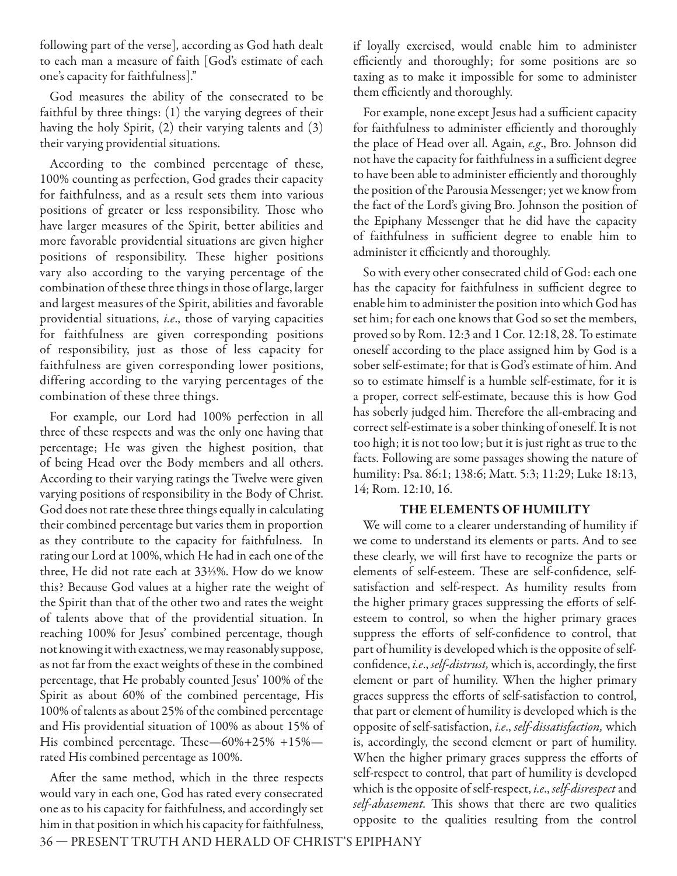following part of the verse], according as God hath dealt to each man a measure of faith [God's estimate of each one's capacity for faithfulness]."

God measures the ability of the consecrated to be faithful by three things: (1) the varying degrees of their having the holy Spirit, (2) their varying talents and (3) their varying providential situations.

According to the combined percentage of these, 100% counting as perfection, God grades their capacity for faithfulness, and as a result sets them into various positions of greater or less responsibility. Those who have larger measures of the Spirit, better abilities and more favorable providential situations are given higher positions of responsibility. These higher positions vary also according to the varying percentage of the combination of these three things in those of large, larger and largest measures of the Spirit, abilities and favorable providential situations, *i.e*., those of varying capacities for faithfulness are given corresponding positions of responsibility, just as those of less capacity for faithfulness are given corresponding lower positions, differing according to the varying percentages of the combination of these three things.

For example, our Lord had 100% perfection in all three of these respects and was the only one having that percentage; He was given the highest position, that of being Head over the Body members and all others. According to their varying ratings the Twelve were given varying positions of responsibility in the Body of Christ. God does not rate these three things equally in calculating their combined percentage but varies them in proportion as they contribute to the capacity for faithfulness. In rating our Lord at 100%, which He had in each one of the three, He did not rate each at 33⅓%. How do we know this? Because God values at a higher rate the weight of the Spirit than that of the other two and rates the weight of talents above that of the providential situation. In reaching 100% for Jesus' combined percentage, though not knowing it with exactness, we may reasonably suppose, as not far from the exact weights of these in the combined percentage, that He probably counted Jesus' 100% of the Spirit as about 60% of the combined percentage, His 100% of talents as about 25% of the combined percentage and His providential situation of 100% as about 15% of His combined percentage. These $-60\% + 25\% + 15\%$ rated His combined percentage as 100%.

After the same method, which in the three respects would vary in each one, God has rated every consecrated one as to his capacity for faithfulness, and accordingly set him in that position in which his capacity for faithfulness, if loyally exercised, would enable him to administer efficiently and thoroughly; for some positions are so taxing as to make it impossible for some to administer them efficiently and thoroughly.

For example, none except Jesus had a sufficient capacity for faithfulness to administer efficiently and thoroughly the place of Head over all. Again, *e.g*., Bro. Johnson did not have the capacity for faithfulness in a sufficient degree to have been able to administer efficiently and thoroughly the position of the Parousia Messenger; yet we know from the fact of the Lord's giving Bro. Johnson the position of the Epiphany Messenger that he did have the capacity of faithfulness in sufficient degree to enable him to administer it efficiently and thoroughly.

So with every other consecrated child of God: each one has the capacity for faithfulness in sufficient degree to enable him to administer the position into which God has set him; for each one knows that God so set the members, proved so by Rom. 12:3 and 1 Cor. 12:18, 28. To estimate oneself according to the place assigned him by God is a sober self-estimate; for that is God's estimate of him. And so to estimate himself is a humble self-estimate, for it is a proper, correct self-estimate, because this is how God has soberly judged him. Therefore the all-embracing and correct self-estimate is a sober thinking of oneself. It is not too high; it is not too low; but it is just right as true to the facts. Following are some passages showing the nature of humility: Psa. 86:1; 138:6; Matt. 5:3; 11:29; Luke 18:13, 14; Rom. 12:10, 16.

#### **THE ELEMENTS OF HUMILITY**

We will come to a clearer understanding of humility if we come to understand its elements or parts. And to see these clearly, we will first have to recognize the parts or elements of self-esteem. These are self-confidence, selfsatisfaction and self-respect. As humility results from the higher primary graces suppressing the efforts of selfesteem to control, so when the higher primary graces suppress the efforts of self-confidence to control, that part of humility is developed which is the opposite of selfconfidence, *i.e., self-distrust,* which is, accordingly, the first element or part of humility. When the higher primary graces suppress the efforts of self-satisfaction to control, that part or element of humility is developed which is the opposite of self-satisfaction, *i.e*., *self*-*dissatisfaction,* which is, accordingly, the second element or part of humility. When the higher primary graces suppress the efforts of self-respect to control, that part of humility is developed which is the opposite of self-respect, *i.e*., *self*-*disrespect* and self-abasement. This shows that there are two qualities opposite to the qualities resulting from the control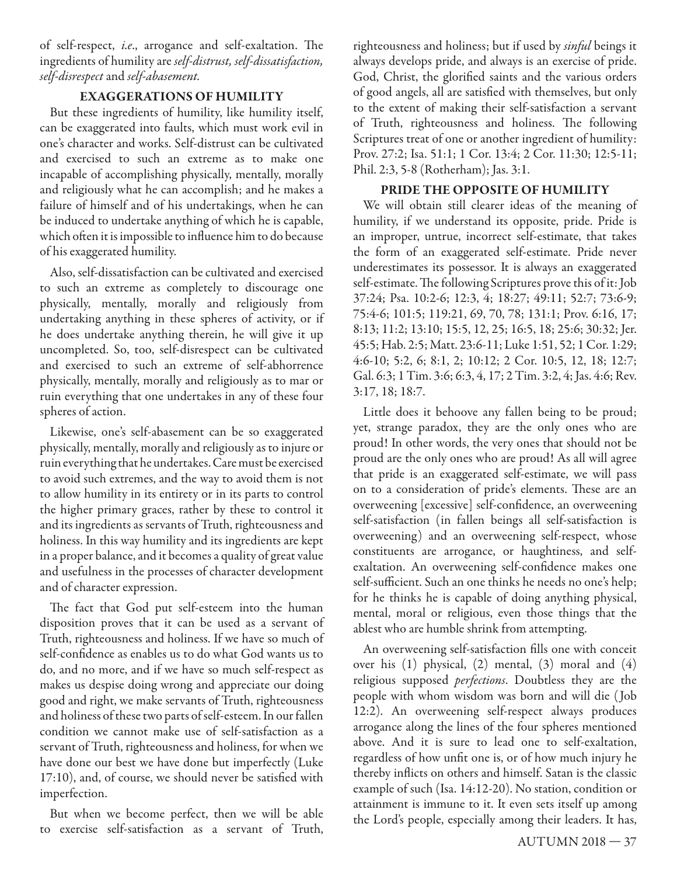of self-respect, *i.e.*, arrogance and self-exaltation. The ingredients of humility are *self*-*distrust, self*-*dissatisfaction, self*-*disrespect* and *self*-*abasement.* 

#### **EXAGGERATIONS OF HUMILITY**

But these ingredients of humility, like humility itself, can be exaggerated into faults, which must work evil in one's character and works. Self-distrust can be cultivated and exercised to such an extreme as to make one incapable of accomplishing physically, mentally, morally and religiously what he can accomplish; and he makes a failure of himself and of his undertakings, when he can be induced to undertake anything of which he is capable, which often it is impossible to influence him to do because of his exaggerated humility.

Also, self-dissatisfaction can be cultivated and exercised to such an extreme as completely to discourage one physically, mentally, morally and religiously from undertaking anything in these spheres of activity, or if he does undertake anything therein, he will give it up uncompleted. So, too, self-disrespect can be cultivated and exercised to such an extreme of self-abhorrence physically, mentally, morally and religiously as to mar or ruin everything that one undertakes in any of these four spheres of action.

Likewise, one's self-abasement can be so exaggerated physically, mentally, morally and religiously as to injure or ruin everything that he undertakes. Care must be exercised to avoid such extremes, and the way to avoid them is not to allow humility in its entirety or in its parts to control the higher primary graces, rather by these to control it and its ingredients as servants of Truth, righteousness and holiness. In this way humility and its ingredients are kept in a proper balance, and it becomes a quality of great value and usefulness in the processes of character development and of character expression.

The fact that God put self-esteem into the human disposition proves that it can be used as a servant of Truth, righteousness and holiness. If we have so much of self-confidence as enables us to do what God wants us to do, and no more, and if we have so much self-respect as makes us despise doing wrong and appreciate our doing good and right, we make servants of Truth, righteousness and holiness of these two parts of self-esteem. In our fallen condition we cannot make use of self-satisfaction as a servant of Truth, righteousness and holiness, for when we have done our best we have done but imperfectly (Luke 17:10), and, of course, we should never be satisfied with imperfection.

But when we become perfect, then we will be able to exercise self-satisfaction as a servant of Truth,

righteousness and holiness; but if used by *sinful* beings it always develops pride, and always is an exercise of pride. God, Christ, the glorified saints and the various orders of good angels, all are satisfied with themselves, but only to the extent of making their self-satisfaction a servant of Truth, righteousness and holiness. The following Scriptures treat of one or another ingredient of humility: Prov. 27:2; Isa. 51:1; 1 Cor. 13:4; 2 Cor. 11:30; 12:5-11; Phil. 2:3, 5-8 (Rotherham); Jas. 3:1.

#### **PRIDE THE OPPOSITE OF HUMILITY**

We will obtain still clearer ideas of the meaning of humility, if we understand its opposite, pride. Pride is an improper, untrue, incorrect self-estimate, that takes the form of an exaggerated self-estimate. Pride never underestimates its possessor. It is always an exaggerated self-estimate. The following Scriptures prove this of it: Job 37:24; Psa. 10:2-6; 12:3, 4; 18:27; 49:11; 52:7; 73:6-9; 75:4-6; 101:5; 119:21, 69, 70, 78; 131:1; Prov. 6:16, 17; 8:13; 11:2; 13:10; 15:5, 12, 25; 16:5, 18; 25:6; 30:32; Jer. 45:5; Hab. 2:5; Matt. 23:6-11; Luke 1:51, 52; 1 Cor. 1:29; 4:6-10; 5:2, 6; 8:1, 2; 10:12; 2 Cor. 10:5, 12, 18; 12:7; Gal. 6:3; 1 Tim. 3:6; 6:3, 4, 17; 2 Tim. 3:2, 4; Jas. 4:6; Rev. 3:17, 18; 18:7.

Little does it behoove any fallen being to be proud; yet, strange paradox, they are the only ones who are proud! In other words, the very ones that should not be proud are the only ones who are proud! As all will agree that pride is an exaggerated self-estimate, we will pass on to a consideration of pride's elements. These are an overweening [excessive] self-confidence, an overweening self-satisfaction (in fallen beings all self-satisfaction is overweening) and an overweening self-respect, whose constituents are arrogance, or haughtiness, and selfexaltation. An overweening self-confidence makes one self-sufficient. Such an one thinks he needs no one's help; for he thinks he is capable of doing anything physical, mental, moral or religious, even those things that the ablest who are humble shrink from attempting.

An overweening self-satisfaction fills one with conceit over his (1) physical, (2) mental, (3) moral and (4) religious supposed *perfections*. Doubtless they are the people with whom wisdom was born and will die ( Job 12:2). An overweening self-respect always produces arrogance along the lines of the four spheres mentioned above. And it is sure to lead one to self-exaltation, regardless of how unfit one is, or of how much injury he thereby inflicts on others and himself. Satan is the classic example of such (Isa. 14:12-20). No station, condition or attainment is immune to it. It even sets itself up among the Lord's people, especially among their leaders. It has,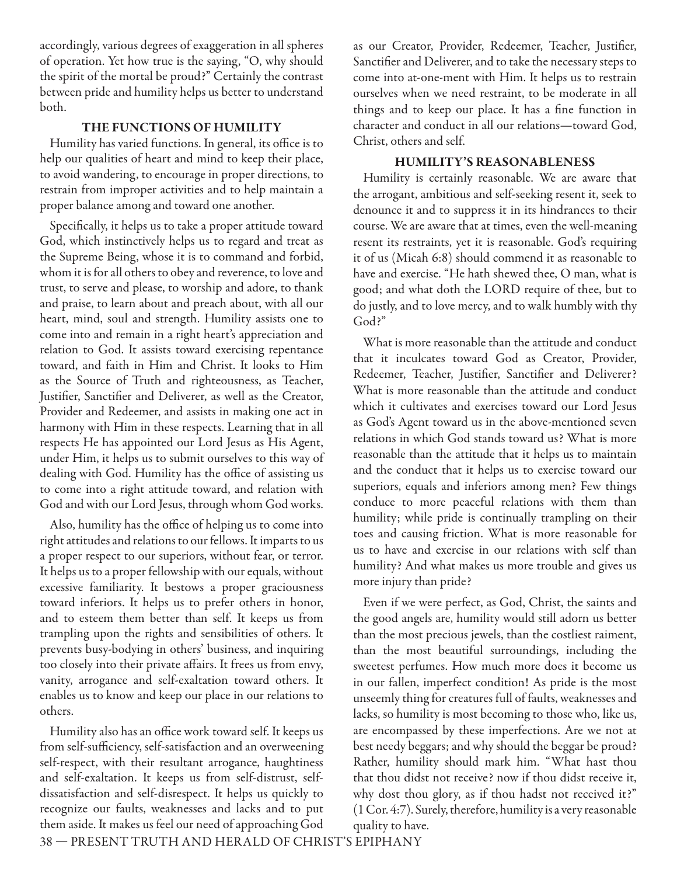accordingly, various degrees of exaggeration in all spheres of operation. Yet how true is the saying, "O, why should the spirit of the mortal be proud?" Certainly the contrast between pride and humility helps us better to understand both.

#### **THE FUNCTIONS OF HUMILITY**

Humility has varied functions. In general, its office is to help our qualities of heart and mind to keep their place, to avoid wandering, to encourage in proper directions, to restrain from improper activities and to help maintain a proper balance among and toward one another.

Specifically, it helps us to take a proper attitude toward God, which instinctively helps us to regard and treat as the Supreme Being, whose it is to command and forbid, whom it is for all others to obey and reverence, to love and trust, to serve and please, to worship and adore, to thank and praise, to learn about and preach about, with all our heart, mind, soul and strength. Humility assists one to come into and remain in a right heart's appreciation and relation to God. It assists toward exercising repentance toward, and faith in Him and Christ. It looks to Him as the Source of Truth and righteousness, as Teacher, Justifier, Sanctifier and Deliverer, as well as the Creator, Provider and Redeemer, and assists in making one act in harmony with Him in these respects. Learning that in all respects He has appointed our Lord Jesus as His Agent, under Him, it helps us to submit ourselves to this way of dealing with God. Humility has the office of assisting us to come into a right attitude toward, and relation with God and with our Lord Jesus, through whom God works.

Also, humility has the office of helping us to come into right attitudes and relations to our fellows. It imparts to us a proper respect to our superiors, without fear, or terror. It helps us to a proper fellowship with our equals, without excessive familiarity. It bestows a proper graciousness toward inferiors. It helps us to prefer others in honor, and to esteem them better than self. It keeps us from trampling upon the rights and sensibilities of others. It prevents busy-bodying in others' business, and inquiring too closely into their private affairs. It frees us from envy, vanity, arrogance and self-exaltation toward others. It enables us to know and keep our place in our relations to others.

Humility also has an office work toward self. It keeps us from self-sufficiency, self-satisfaction and an overweening self-respect, with their resultant arrogance, haughtiness and self-exaltation. It keeps us from self-distrust, selfdissatisfaction and self-disrespect. It helps us quickly to recognize our faults, weaknesses and lacks and to put them aside. It makes us feel our need of approaching God

as our Creator, Provider, Redeemer, Teacher, Justifier, Sanctifier and Deliverer, and to take the necessary steps to come into at-one-ment with Him. It helps us to restrain ourselves when we need restraint, to be moderate in all things and to keep our place. It has a fine function in character and conduct in all our relations—toward God, Christ, others and self.

#### **HUMILITY'S REASONABLENESS**

Humility is certainly reasonable. We are aware that the arrogant, ambitious and self-seeking resent it, seek to denounce it and to suppress it in its hindrances to their course. We are aware that at times, even the well-meaning resent its restraints, yet it is reasonable. God's requiring it of us (Micah 6:8) should commend it as reasonable to have and exercise. "He hath shewed thee, O man, what is good; and what doth the LORD require of thee, but to do justly, and to love mercy, and to walk humbly with thy God?"

What is more reasonable than the attitude and conduct that it inculcates toward God as Creator, Provider, Redeemer, Teacher, Justifier, Sanctifier and Deliverer? What is more reasonable than the attitude and conduct which it cultivates and exercises toward our Lord Jesus as God's Agent toward us in the above-mentioned seven relations in which God stands toward us? What is more reasonable than the attitude that it helps us to maintain and the conduct that it helps us to exercise toward our superiors, equals and inferiors among men? Few things conduce to more peaceful relations with them than humility; while pride is continually trampling on their toes and causing friction. What is more reasonable for us to have and exercise in our relations with self than humility? And what makes us more trouble and gives us more injury than pride?

Even if we were perfect, as God, Christ, the saints and the good angels are, humility would still adorn us better than the most precious jewels, than the costliest raiment, than the most beautiful surroundings, including the sweetest perfumes. How much more does it become us in our fallen, imperfect condition! As pride is the most unseemly thing for creatures full of faults, weaknesses and lacks, so humility is most becoming to those who, like us, are encompassed by these imperfections. Are we not at best needy beggars; and why should the beggar be proud? Rather, humility should mark him. "What hast thou that thou didst not receive? now if thou didst receive it, why dost thou glory, as if thou hadst not received it?" (1 Cor. 4:7). Surely, therefore, humility is a very reasonable quality to have.

38 — PRESENT TRUTH AND HERALD OF CHRIST'S EPIPHANY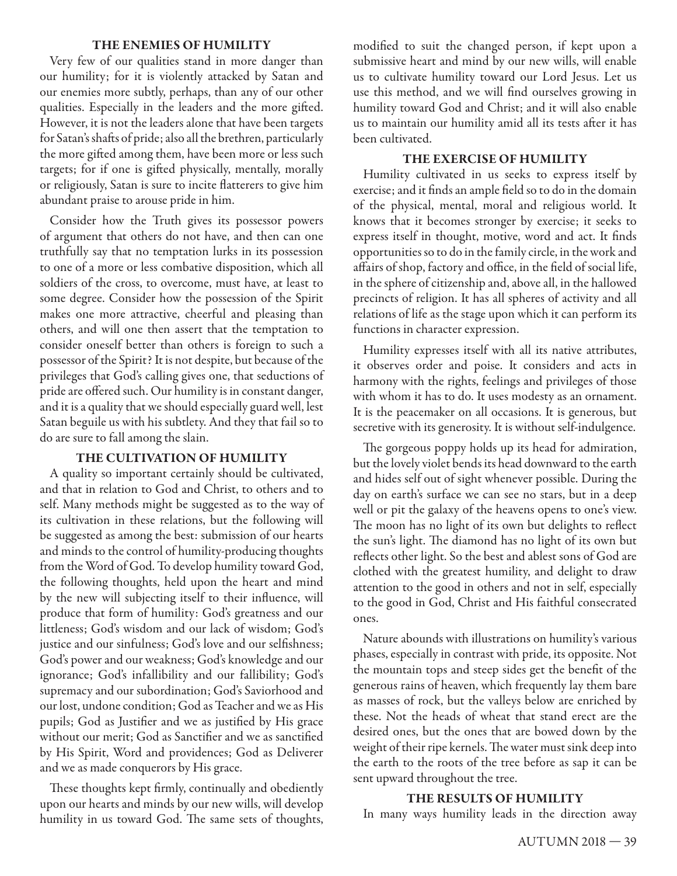#### **THE ENEMIES OF HUMILITY**

Very few of our qualities stand in more danger than our humility; for it is violently attacked by Satan and our enemies more subtly, perhaps, than any of our other qualities. Especially in the leaders and the more gifted. However, it is not the leaders alone that have been targets for Satan's shafts of pride; also all the brethren, particularly the more gifted among them, have been more or less such targets; for if one is gifted physically, mentally, morally or religiously, Satan is sure to incite flatterers to give him abundant praise to arouse pride in him.

Consider how the Truth gives its possessor powers of argument that others do not have, and then can one truthfully say that no temptation lurks in its possession to one of a more or less combative disposition, which all soldiers of the cross, to overcome, must have, at least to some degree. Consider how the possession of the Spirit makes one more attractive, cheerful and pleasing than others, and will one then assert that the temptation to consider oneself better than others is foreign to such a possessor of the Spirit? It is not despite, but because of the privileges that God's calling gives one, that seductions of pride are offered such. Our humility is in constant danger, and it is a quality that we should especially guard well, lest Satan beguile us with his subtlety. And they that fail so to do are sure to fall among the slain.

#### **THE CULTIVATION OF HUMILITY**

A quality so important certainly should be cultivated, and that in relation to God and Christ, to others and to self. Many methods might be suggested as to the way of its cultivation in these relations, but the following will be suggested as among the best: submission of our hearts and minds to the control of humility-producing thoughts from the Word of God. To develop humility toward God, the following thoughts, held upon the heart and mind by the new will subjecting itself to their influence, will produce that form of humility: God's greatness and our littleness; God's wisdom and our lack of wisdom; God's justice and our sinfulness; God's love and our selfishness; God's power and our weakness; God's knowledge and our ignorance; God's infallibility and our fallibility; God's supremacy and our subordination; God's Saviorhood and our lost, undone condition; God as Teacher and we as His pupils; God as Justifier and we as justified by His grace without our merit; God as Sanctifier and we as sanctified by His Spirit, Word and providences; God as Deliverer and we as made conquerors by His grace.

These thoughts kept firmly, continually and obediently upon our hearts and minds by our new wills, will develop humility in us toward God. The same sets of thoughts,

modified to suit the changed person, if kept upon a submissive heart and mind by our new wills, will enable us to cultivate humility toward our Lord Jesus. Let us use this method, and we will find ourselves growing in humility toward God and Christ; and it will also enable us to maintain our humility amid all its tests after it has been cultivated.

#### **THE EXERCISE OF HUMILITY**

Humility cultivated in us seeks to express itself by exercise; and it finds an ample field so to do in the domain of the physical, mental, moral and religious world. It knows that it becomes stronger by exercise; it seeks to express itself in thought, motive, word and act. It finds opportunities so to do in the family circle, in the work and affairs of shop, factory and office, in the field of social life, in the sphere of citizenship and, above all, in the hallowed precincts of religion. It has all spheres of activity and all relations of life as the stage upon which it can perform its functions in character expression.

Humility expresses itself with all its native attributes, it observes order and poise. It considers and acts in harmony with the rights, feelings and privileges of those with whom it has to do. It uses modesty as an ornament. It is the peacemaker on all occasions. It is generous, but secretive with its generosity. It is without self-indulgence.

The gorgeous poppy holds up its head for admiration, but the lovely violet bends its head downward to the earth and hides self out of sight whenever possible. During the day on earth's surface we can see no stars, but in a deep well or pit the galaxy of the heavens opens to one's view. The moon has no light of its own but delights to reflect the sun's light. The diamond has no light of its own but reflects other light. So the best and ablest sons of God are clothed with the greatest humility, and delight to draw attention to the good in others and not in self, especially to the good in God, Christ and His faithful consecrated ones.

Nature abounds with illustrations on humility's various phases, especially in contrast with pride, its opposite. Not the mountain tops and steep sides get the benefit of the generous rains of heaven, which frequently lay them bare as masses of rock, but the valleys below are enriched by these. Not the heads of wheat that stand erect are the desired ones, but the ones that are bowed down by the weight of their ripe kernels. The water must sink deep into the earth to the roots of the tree before as sap it can be sent upward throughout the tree.

#### **THE RESULTS OF HUMILITY**

In many ways humility leads in the direction away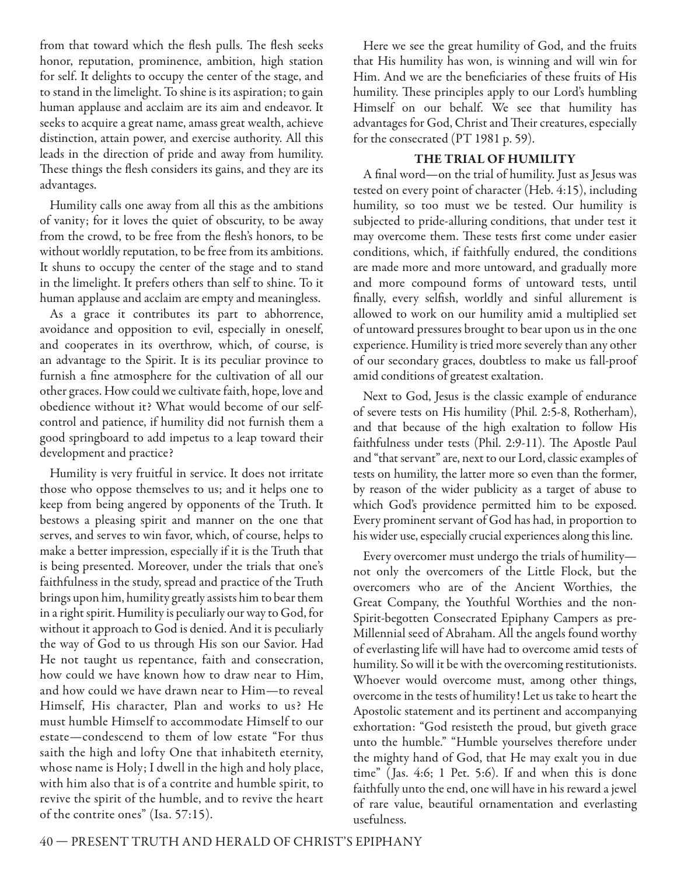from that toward which the flesh pulls. The flesh seeks honor, reputation, prominence, ambition, high station for self. It delights to occupy the center of the stage, and to stand in the limelight. To shine is its aspiration; to gain human applause and acclaim are its aim and endeavor. It seeks to acquire a great name, amass great wealth, achieve distinction, attain power, and exercise authority. All this leads in the direction of pride and away from humility. These things the flesh considers its gains, and they are its advantages.

Humility calls one away from all this as the ambitions of vanity; for it loves the quiet of obscurity, to be away from the crowd, to be free from the flesh's honors, to be without worldly reputation, to be free from its ambitions. It shuns to occupy the center of the stage and to stand in the limelight. It prefers others than self to shine. To it human applause and acclaim are empty and meaningless.

As a grace it contributes its part to abhorrence, avoidance and opposition to evil, especially in oneself, and cooperates in its overthrow, which, of course, is an advantage to the Spirit. It is its peculiar province to furnish a fine atmosphere for the cultivation of all our other graces. How could we cultivate faith, hope, love and obedience without it? What would become of our selfcontrol and patience, if humility did not furnish them a good springboard to add impetus to a leap toward their development and practice?

Humility is very fruitful in service. It does not irritate those who oppose themselves to us; and it helps one to keep from being angered by opponents of the Truth. It bestows a pleasing spirit and manner on the one that serves, and serves to win favor, which, of course, helps to make a better impression, especially if it is the Truth that is being presented. Moreover, under the trials that one's faithfulness in the study, spread and practice of the Truth brings upon him, humility greatly assists him to bear them in a right spirit. Humility is peculiarly our way to God, for without it approach to God is denied. And it is peculiarly the way of God to us through His son our Savior. Had He not taught us repentance, faith and consecration, how could we have known how to draw near to Him, and how could we have drawn near to Him—to reveal Himself, His character, Plan and works to us? He must humble Himself to accommodate Himself to our estate—condescend to them of low estate "For thus saith the high and lofty One that inhabiteth eternity, whose name is Holy; I dwell in the high and holy place, with him also that is of a contrite and humble spirit, to revive the spirit of the humble, and to revive the heart of the contrite ones" (Isa. 57:15).

Here we see the great humility of God, and the fruits that His humility has won, is winning and will win for Him. And we are the beneficiaries of these fruits of His humility. These principles apply to our Lord's humbling Himself on our behalf. We see that humility has advantages for God, Christ and Their creatures, especially for the consecrated (PT 1981 p. 59).

#### **THE TRIAL OF HUMILITY**

A final word—on the trial of humility. Just as Jesus was tested on every point of character (Heb. 4:15), including humility, so too must we be tested. Our humility is subjected to pride-alluring conditions, that under test it may overcome them. These tests first come under easier conditions, which, if faithfully endured, the conditions are made more and more untoward, and gradually more and more compound forms of untoward tests, until finally, every selfish, worldly and sinful allurement is allowed to work on our humility amid a multiplied set of untoward pressures brought to bear upon us in the one experience. Humility is tried more severely than any other of our secondary graces, doubtless to make us fall-proof amid conditions of greatest exaltation.

Next to God, Jesus is the classic example of endurance of severe tests on His humility (Phil. 2:5-8, Rotherham), and that because of the high exaltation to follow His faithfulness under tests (Phil. 2:9-11). The Apostle Paul and "that servant" are, next to our Lord, classic examples of tests on humility, the latter more so even than the former, by reason of the wider publicity as a target of abuse to which God's providence permitted him to be exposed. Every prominent servant of God has had, in proportion to his wider use, especially crucial experiences along this line.

Every overcomer must undergo the trials of humility not only the overcomers of the Little Flock, but the overcomers who are of the Ancient Worthies, the Great Company, the Youthful Worthies and the non-Spirit-begotten Consecrated Epiphany Campers as pre-Millennial seed of Abraham. All the angels found worthy of everlasting life will have had to overcome amid tests of humility. So will it be with the overcoming restitutionists. Whoever would overcome must, among other things, overcome in the tests of humility! Let us take to heart the Apostolic statement and its pertinent and accompanying exhortation: "God resisteth the proud, but giveth grace unto the humble." "Humble yourselves therefore under the mighty hand of God, that He may exalt you in due time" ( Jas. 4:6; 1 Pet. 5:6). If and when this is done faithfully unto the end, one will have in his reward a jewel of rare value, beautiful ornamentation and everlasting usefulness.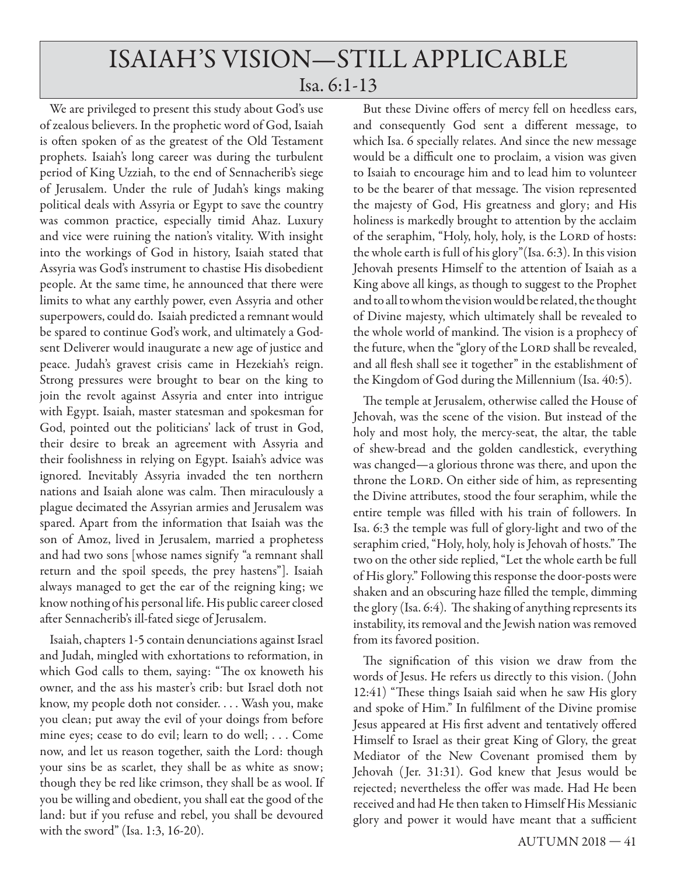# ISAIAH'S VISION—STILL APPLICABLE Isa. 6:1-13

We are privileged to present this study about God's use of zealous believers. In the prophetic word of God, Isaiah is often spoken of as the greatest of the Old Testament prophets. Isaiah's long career was during the turbulent period of King Uzziah, to the end of Sennacherib's siege of Jerusalem. Under the rule of Judah's kings making political deals with Assyria or Egypt to save the country was common practice, especially timid Ahaz. Luxury and vice were ruining the nation's vitality. With insight into the workings of God in history, Isaiah stated that Assyria was God's instrument to chastise His disobedient people. At the same time, he announced that there were limits to what any earthly power, even Assyria and other superpowers, could do. Isaiah predicted a remnant would be spared to continue God's work, and ultimately a Godsent Deliverer would inaugurate a new age of justice and peace. Judah's gravest crisis came in Hezekiah's reign. Strong pressures were brought to bear on the king to join the revolt against Assyria and enter into intrigue with Egypt. Isaiah, master statesman and spokesman for God, pointed out the politicians' lack of trust in God, their desire to break an agreement with Assyria and their foolishness in relying on Egypt. Isaiah's advice was ignored. Inevitably Assyria invaded the ten northern nations and Isaiah alone was calm. Then miraculously a plague decimated the Assyrian armies and Jerusalem was spared. Apart from the information that Isaiah was the son of Amoz, lived in Jerusalem, married a prophetess and had two sons [whose names signify "a remnant shall return and the spoil speeds, the prey hastens"]. Isaiah always managed to get the ear of the reigning king; we know nothing of his personal life. His public career closed after Sennacherib's ill-fated siege of Jerusalem.

Isaiah, chapters 1-5 contain denunciations against Israel and Judah, mingled with exhortations to reformation, in which God calls to them, saying: "The ox knoweth his owner, and the ass his master's crib: but Israel doth not know, my people doth not consider. . . . Wash you, make you clean; put away the evil of your doings from before mine eyes; cease to do evil; learn to do well; . . . Come now, and let us reason together, saith the Lord: though your sins be as scarlet, they shall be as white as snow; though they be red like crimson, they shall be as wool. If you be willing and obedient, you shall eat the good of the land: but if you refuse and rebel, you shall be devoured with the sword" (Isa. 1:3, 16-20).

But these Divine offers of mercy fell on heedless ears, and consequently God sent a different message, to which Isa. 6 specially relates. And since the new message would be a difficult one to proclaim, a vision was given to Isaiah to encourage him and to lead him to volunteer to be the bearer of that message. The vision represented the majesty of God, His greatness and glory; and His holiness is markedly brought to attention by the acclaim of the seraphim, "Holy, holy, holy, is the LORD of hosts: the whole earth is full of his glory"(Isa. 6:3). In this vision Jehovah presents Himself to the attention of Isaiah as a King above all kings, as though to suggest to the Prophet and to all to whom the vision would be related, the thought of Divine majesty, which ultimately shall be revealed to the whole world of mankind. The vision is a prophecy of the future, when the "glory of the LORD shall be revealed, and all flesh shall see it together" in the establishment of the Kingdom of God during the Millennium (Isa. 40:5).

The temple at Jerusalem, otherwise called the House of Jehovah, was the scene of the vision. But instead of the holy and most holy, the mercy-seat, the altar, the table of shew-bread and the golden candlestick, everything was changed—a glorious throne was there, and upon the throne the LORD. On either side of him, as representing the Divine attributes, stood the four seraphim, while the entire temple was filled with his train of followers. In Isa. 6:3 the temple was full of glory-light and two of the seraphim cried, "Holy, holy, holy is Jehovah of hosts." The two on the other side replied, "Let the whole earth be full of His glory." Following this response the door-posts were shaken and an obscuring haze filled the temple, dimming the glory (Isa.  $6:4$ ). The shaking of anything represents its instability, its removal and the Jewish nation was removed from its favored position.

The signification of this vision we draw from the words of Jesus. He refers us directly to this vision. ( John 12:41) "These things Isaiah said when he saw His glory and spoke of Him." In fulfilment of the Divine promise Jesus appeared at His first advent and tentatively offered Himself to Israel as their great King of Glory, the great Mediator of the New Covenant promised them by Jehovah (Jer. 31:31). God knew that Jesus would be rejected: nevertheless the offer was made. Had He been received and had He then taken to Himself His Messianic glory and power it would have meant that a sufficient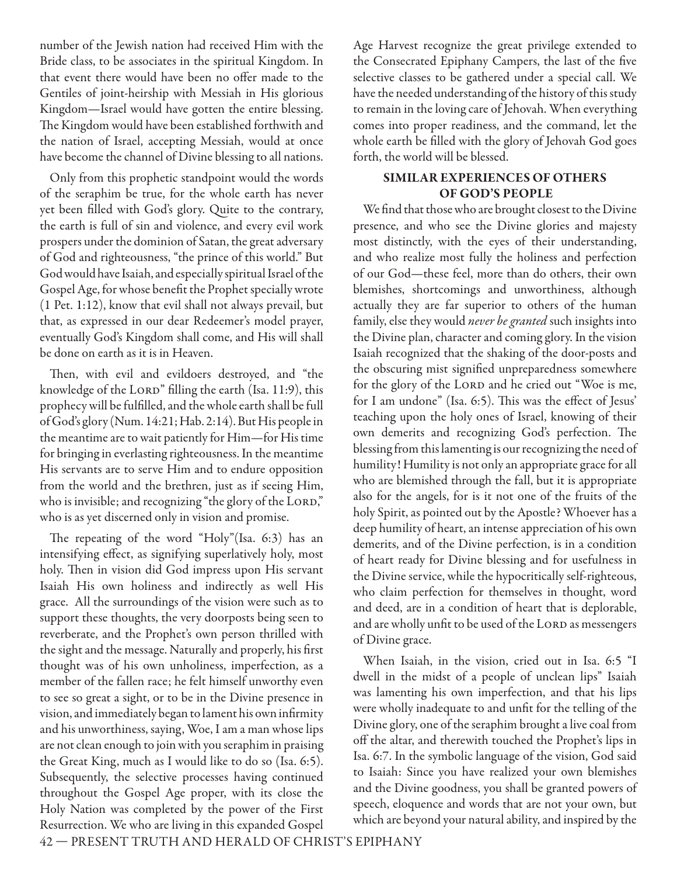number of the Jewish nation had received Him with the Bride class, to be associates in the spiritual Kingdom. In that event there would have been no offer made to the Gentiles of joint-heirship with Messiah in His glorious Kingdom—Israel would have gotten the entire blessing. The Kingdom would have been established forthwith and the nation of Israel, accepting Messiah, would at once have become the channel of Divine blessing to all nations.

Only from this prophetic standpoint would the words of the seraphim be true, for the whole earth has never yet been filled with God's glory. Quite to the contrary, the earth is full of sin and violence, and every evil work prospers under the dominion of Satan, the great adversary of God and righteousness, "the prince of this world." But God would have Isaiah, and especially spiritual Israel of the Gospel Age, for whose benefit the Prophet specially wrote (1 Pet. 1:12), know that evil shall not always prevail, but that, as expressed in our dear Redeemer's model prayer, eventually God's Kingdom shall come, and His will shall be done on earth as it is in Heaven.

Then, with evil and evildoers destroyed, and "the knowledge of the LORD" filling the earth (Isa. 11:9), this prophecy will be fulfilled, and the whole earth shall be full of God's glory (Num. 14:21; Hab. 2:14). But His people in the meantime are to wait patiently for Him—for His time for bringing in everlasting righteousness. In the meantime His servants are to serve Him and to endure opposition from the world and the brethren, just as if seeing Him, who is invisible; and recognizing "the glory of the LORD," who is as yet discerned only in vision and promise.

The repeating of the word "Holy"(Isa.  $6:3$ ) has an intensifying effect, as signifying superlatively holy, most holy. Then in vision did God impress upon His servant Isaiah His own holiness and indirectly as well His grace. All the surroundings of the vision were such as to support these thoughts, the very doorposts being seen to reverberate, and the Prophet's own person thrilled with the sight and the message. Naturally and properly, his first thought was of his own unholiness, imperfection, as a member of the fallen race; he felt himself unworthy even to see so great a sight, or to be in the Divine presence in vision, and immediately began to lament his own infirmity and his unworthiness, saying, Woe, I am a man whose lips are not clean enough to join with you seraphim in praising the Great King, much as I would like to do so (Isa. 6:5). Subsequently, the selective processes having continued throughout the Gospel Age proper, with its close the Holy Nation was completed by the power of the First Resurrection. We who are living in this expanded Gospel

Age Harvest recognize the great privilege extended to the Consecrated Epiphany Campers, the last of the five selective classes to be gathered under a special call. We have the needed understanding of the history of this study to remain in the loving care of Jehovah. When everything comes into proper readiness, and the command, let the whole earth be filled with the glory of Jehovah God goes forth, the world will be blessed.

#### **SIMILAR EXPERIENCES OF OTHERS OF GOD'S PEOPLE**

We find that those who are brought closest to the Divine presence, and who see the Divine glories and majesty most distinctly, with the eyes of their understanding, and who realize most fully the holiness and perfection of our God—these feel, more than do others, their own blemishes, shortcomings and unworthiness, although actually they are far superior to others of the human family, else they would *never be granted* such insights into the Divine plan, character and coming glory. In the vision Isaiah recognized that the shaking of the door-posts and the obscuring mist signified unpreparedness somewhere for the glory of the LORD and he cried out "Woe is me, for I am undone" (Isa. 6:5). This was the effect of Jesus' teaching upon the holy ones of Israel, knowing of their own demerits and recognizing God's perfection. The blessing from this lamenting is our recognizing the need of humility! Humility is not only an appropriate grace for all who are blemished through the fall, but it is appropriate also for the angels, for is it not one of the fruits of the holy Spirit, as pointed out by the Apostle? Whoever has a deep humility of heart, an intense appreciation of his own demerits, and of the Divine perfection, is in a condition of heart ready for Divine blessing and for usefulness in the Divine service, while the hypocritically self-righteous, who claim perfection for themselves in thought, word and deed, are in a condition of heart that is deplorable, and are wholly unfit to be used of the LORD as messengers of Divine grace.

When Isaiah, in the vision, cried out in Isa. 6:5 "I dwell in the midst of a people of unclean lips" Isaiah was lamenting his own imperfection, and that his lips were wholly inadequate to and unfit for the telling of the Divine glory, one of the seraphim brought a live coal from off the altar, and therewith touched the Prophet's lips in Isa. 6:7. In the symbolic language of the vision, God said to Isaiah: Since you have realized your own blemishes and the Divine goodness, you shall be granted powers of speech, eloquence and words that are not your own, but which are beyond your natural ability, and inspired by the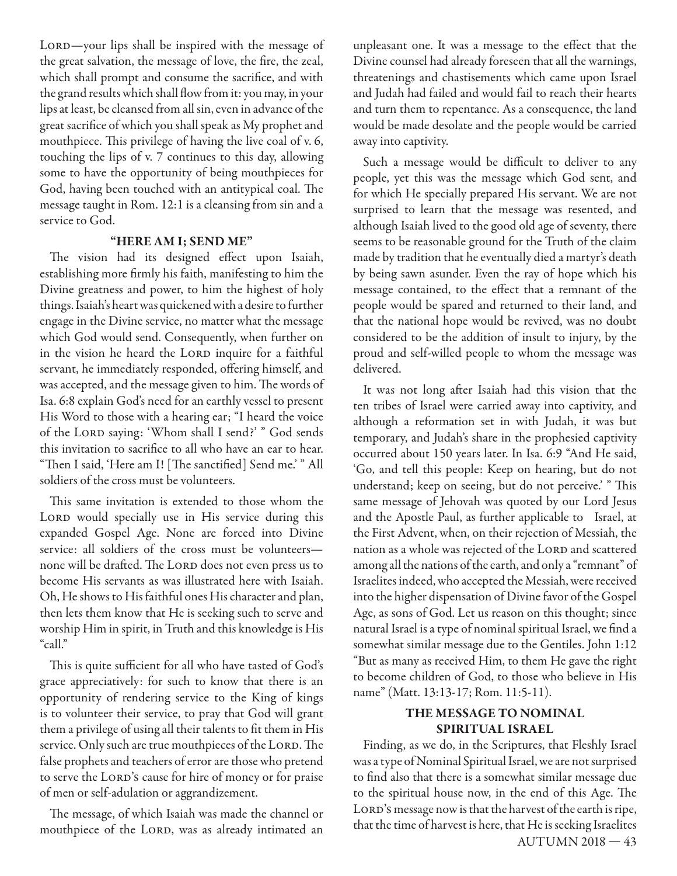LORD—your lips shall be inspired with the message of the great salvation, the message of love, the fire, the zeal, which shall prompt and consume the sacrifice, and with the grand results which shall flow from it: you may, in your lips at least, be cleansed from all sin, even in advance of the great sacrifice of which you shall speak as My prophet and mouthpiece. This privilege of having the live coal of v. 6, touching the lips of v. 7 continues to this day, allowing some to have the opportunity of being mouthpieces for God, having been touched with an antitypical coal. The message taught in Rom. 12:1 is a cleansing from sin and a service to God.

#### **"HERE AM I; SEND ME"**

The vision had its designed effect upon Isaiah, establishing more firmly his faith, manifesting to him the Divine greatness and power, to him the highest of holy things. Isaiah's heart was quickened with a desire to further engage in the Divine service, no matter what the message which God would send. Consequently, when further on in the vision he heard the LORD inquire for a faithful servant, he immediately responded, offering himself, and was accepted, and the message given to him. The words of Isa. 6:8 explain God's need for an earthly vessel to present His Word to those with a hearing ear; "I heard the voice of the LORD saying: 'Whom shall I send?' " God sends this invitation to sacrifice to all who have an ear to hear. "Then I said, 'Here am I! [The sanctified] Send me.'" All soldiers of the cross must be volunteers.

This same invitation is extended to those whom the LORD would specially use in His service during this expanded Gospel Age. None are forced into Divine service: all soldiers of the cross must be volunteers none will be drafted. The LORD does not even press us to become His servants as was illustrated here with Isaiah. Oh, He shows to His faithful ones His character and plan, then lets them know that He is seeking such to serve and worship Him in spirit, in Truth and this knowledge is His "call."

This is quite sufficient for all who have tasted of God's grace appreciatively: for such to know that there is an opportunity of rendering service to the King of kings is to volunteer their service, to pray that God will grant them a privilege of using all their talents to fit them in His service. Only such are true mouthpieces of the LORD. The false prophets and teachers of error are those who pretend to serve the LORD's cause for hire of money or for praise of men or self-adulation or aggrandizement.

The message, of which Isaiah was made the channel or mouthpiece of the LORD, was as already intimated an

unpleasant one. It was a message to the effect that the Divine counsel had already foreseen that all the warnings, threatenings and chastisements which came upon Israel and Judah had failed and would fail to reach their hearts and turn them to repentance. As a consequence, the land would be made desolate and the people would be carried away into captivity.

Such a message would be difficult to deliver to any people, yet this was the message which God sent, and for which He specially prepared His servant. We are not surprised to learn that the message was resented, and although Isaiah lived to the good old age of seventy, there seems to be reasonable ground for the Truth of the claim made by tradition that he eventually died a martyr's death by being sawn asunder. Even the ray of hope which his message contained, to the effect that a remnant of the people would be spared and returned to their land, and that the national hope would be revived, was no doubt considered to be the addition of insult to injury, by the proud and self-willed people to whom the message was delivered.

It was not long after Isaiah had this vision that the ten tribes of Israel were carried away into captivity, and although a reformation set in with Judah, it was but temporary, and Judah's share in the prophesied captivity occurred about 150 years later. In Isa. 6:9 "And He said, 'Go, and tell this people: Keep on hearing, but do not understand; keep on seeing, but do not perceive.' "This same message of Jehovah was quoted by our Lord Jesus and the Apostle Paul, as further applicable to Israel, at the First Advent, when, on their rejection of Messiah, the nation as a whole was rejected of the LORD and scattered among all the nations of the earth, and only a "remnant" of Israelites indeed, who accepted the Messiah, were received into the higher dispensation of Divine favor of the Gospel Age, as sons of God. Let us reason on this thought; since natural Israel is a type of nominal spiritual Israel, we find a somewhat similar message due to the Gentiles. John 1:12 "But as many as received Him, to them He gave the right to become children of God, to those who believe in His name" (Matt. 13:13-17; Rom. 11:5-11).

#### **THE MESSAGE TO NOMINAL SPIRITUAL ISRAEL**

Finding, as we do, in the Scriptures, that Fleshly Israel was a type of Nominal Spiritual Israel, we are not surprised to find also that there is a somewhat similar message due to the spiritual house now, in the end of this Age. The LORD's message now is that the harvest of the earth is ripe, that the time of harvest is here, that He is seeking Israelites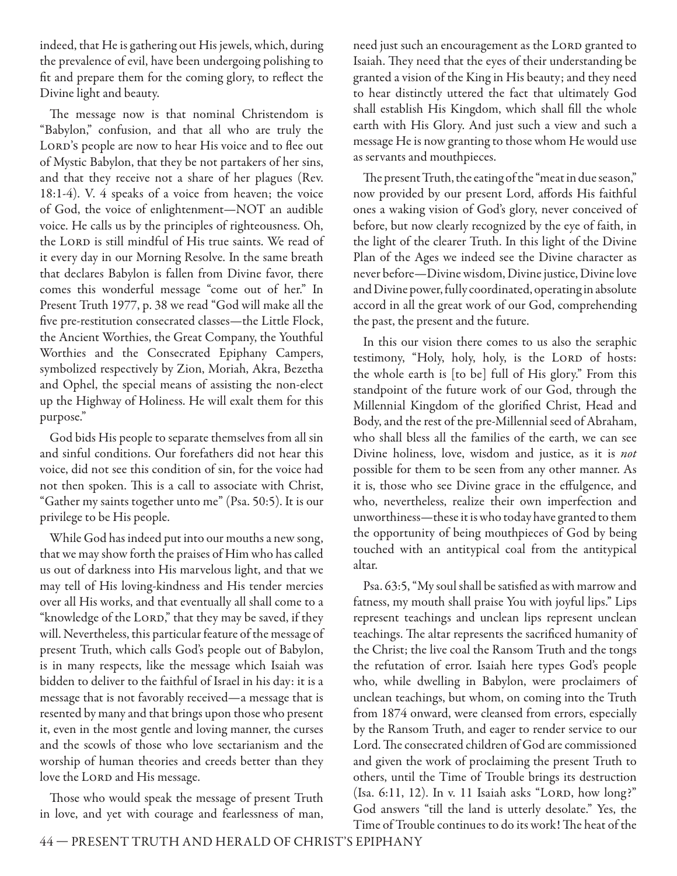indeed, that He is gathering out His jewels, which, during the prevalence of evil, have been undergoing polishing to fit and prepare them for the coming glory, to reflect the Divine light and beauty.

The message now is that nominal Christendom is "Babylon," confusion, and that all who are truly the LORD's people are now to hear His voice and to flee out of Mystic Babylon, that they be not partakers of her sins, and that they receive not a share of her plagues (Rev. 18:1-4). V. 4 speaks of a voice from heaven; the voice of God, the voice of enlightenment—NOT an audible voice. He calls us by the principles of righteousness. Oh, the LORD is still mindful of His true saints. We read of it every day in our Morning Resolve. In the same breath that declares Babylon is fallen from Divine favor, there comes this wonderful message "come out of her." In Present Truth 1977, p. 38 we read "God will make all the five pre-restitution consecrated classes—the Little Flock, the Ancient Worthies, the Great Company, the Youthful Worthies and the Consecrated Epiphany Campers, symbolized respectively by Zion, Moriah, Akra, Bezetha and Ophel, the special means of assisting the non-elect up the Highway of Holiness. He will exalt them for this purpose."

God bids His people to separate themselves from all sin and sinful conditions. Our forefathers did not hear this voice, did not see this condition of sin, for the voice had not then spoken. This is a call to associate with Christ, "Gather my saints together unto me" (Psa. 50:5). It is our privilege to be His people.

While God has indeed put into our mouths a new song, that we may show forth the praises of Him who has called us out of darkness into His marvelous light, and that we may tell of His loving-kindness and His tender mercies over all His works, and that eventually all shall come to a "knowledge of the LORD," that they may be saved, if they will. Nevertheless, this particular feature of the message of present Truth, which calls God's people out of Babylon, is in many respects, like the message which Isaiah was bidden to deliver to the faithful of Israel in his day: it is a message that is not favorably received—a message that is resented by many and that brings upon those who present it, even in the most gentle and loving manner, the curses and the scowls of those who love sectarianism and the worship of human theories and creeds better than they love the LORD and His message.

Those who would speak the message of present Truth in love, and yet with courage and fearlessness of man, need just such an encouragement as the LORD granted to Isaiah. They need that the eyes of their understanding be granted a vision of the King in His beauty; and they need to hear distinctly uttered the fact that ultimately God shall establish His Kingdom, which shall fill the whole earth with His Glory. And just such a view and such a message He is now granting to those whom He would use as servants and mouthpieces.

The present Truth, the eating of the "meat in due season," now provided by our present Lord, affords His faithful ones a waking vision of God's glory, never conceived of before, but now clearly recognized by the eye of faith, in the light of the clearer Truth. In this light of the Divine Plan of the Ages we indeed see the Divine character as never before—Divine wisdom, Divine justice, Divine love and Divine power, fully coordinated, operating in absolute accord in all the great work of our God, comprehending the past, the present and the future.

In this our vision there comes to us also the seraphic testimony, "Holy, holy, holy, is the LORD of hosts: the whole earth is [to be] full of His glory." From this standpoint of the future work of our God, through the Millennial Kingdom of the glorified Christ, Head and Body, and the rest of the pre-Millennial seed of Abraham, who shall bless all the families of the earth, we can see Divine holiness, love, wisdom and justice, as it is *not* possible for them to be seen from any other manner. As it is, those who see Divine grace in the effulgence, and who, nevertheless, realize their own imperfection and unworthiness—these it is who today have granted to them the opportunity of being mouthpieces of God by being touched with an antitypical coal from the antitypical altar.

Psa. 63:5, "My soul shall be satisfied as with marrow and fatness, my mouth shall praise You with joyful lips." Lips represent teachings and unclean lips represent unclean teachings. The altar represents the sacrificed humanity of the Christ; the live coal the Ransom Truth and the tongs the refutation of error. Isaiah here types God's people who, while dwelling in Babylon, were proclaimers of unclean teachings, but whom, on coming into the Truth from 1874 onward, were cleansed from errors, especially by the Ransom Truth, and eager to render service to our Lord. The consecrated children of God are commissioned and given the work of proclaiming the present Truth to others, until the Time of Trouble brings its destruction (Isa. 6:11, 12). In v. 11 Isaiah asks "LORD, how long?" God answers "till the land is utterly desolate." Yes, the Time of Trouble continues to do its work! The heat of the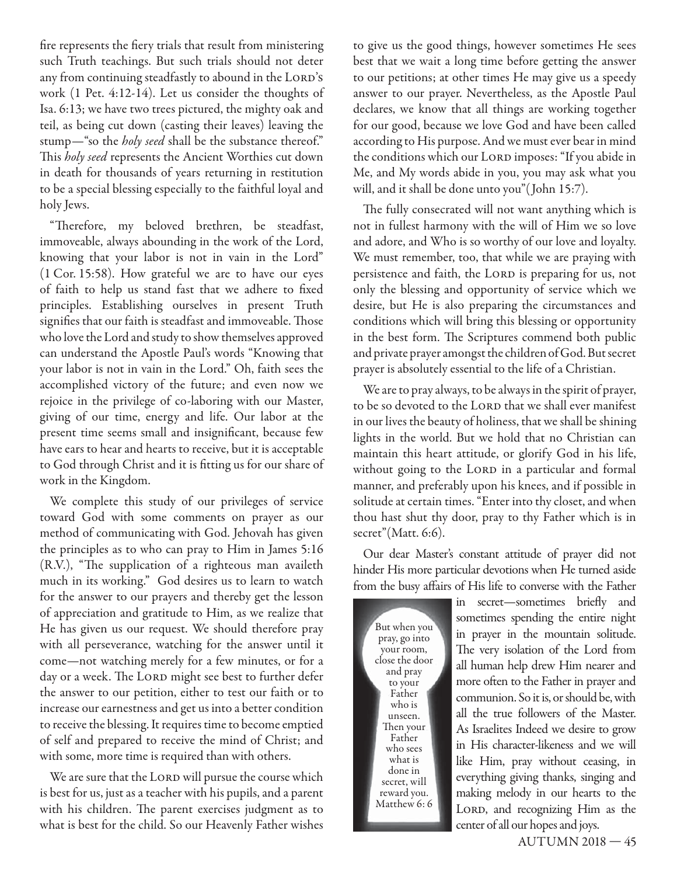fire represents the fiery trials that result from ministering such Truth teachings. But such trials should not deter any from continuing steadfastly to abound in the LORD's work (1 Pet. 4:12-14). Let us consider the thoughts of Isa. 6:13; we have two trees pictured, the mighty oak and teil, as being cut down (casting their leaves) leaving the stump—"so the *holy seed* shall be the substance thereof." This *holy seed* represents the Ancient Worthies cut down in death for thousands of years returning in restitution to be a special blessing especially to the faithful loyal and holy Jews.

"Therefore, my beloved brethren, be steadfast, immoveable, always abounding in the work of the Lord, knowing that your labor is not in vain in the Lord" (1 Cor. 15:58). How grateful we are to have our eyes of faith to help us stand fast that we adhere to fixed principles. Establishing ourselves in present Truth signifies that our faith is steadfast and immoveable. Those who love the Lord and study to show themselves approved can understand the Apostle Paul's words "Knowing that your labor is not in vain in the Lord." Oh, faith sees the accomplished victory of the future; and even now we rejoice in the privilege of co-laboring with our Master, giving of our time, energy and life. Our labor at the present time seems small and insignificant, because few have ears to hear and hearts to receive, but it is acceptable to God through Christ and it is fitting us for our share of work in the Kingdom.

We complete this study of our privileges of service toward God with some comments on prayer as our method of communicating with God. Jehovah has given the principles as to who can pray to Him in James 5:16 (R.V.), "The supplication of a righteous man availeth much in its working." God desires us to learn to watch for the answer to our prayers and thereby get the lesson of appreciation and gratitude to Him, as we realize that He has given us our request. We should therefore pray with all perseverance, watching for the answer until it come—not watching merely for a few minutes, or for a day or a week. The LORD might see best to further defer the answer to our petition, either to test our faith or to increase our earnestness and get us into a better condition to receive the blessing. It requires time to become emptied of self and prepared to receive the mind of Christ; and with some, more time is required than with others.

We are sure that the LORD will pursue the course which is best for us, just as a teacher with his pupils, and a parent with his children. The parent exercises judgment as to what is best for the child. So our Heavenly Father wishes

to give us the good things, however sometimes He sees best that we wait a long time before getting the answer to our petitions; at other times He may give us a speedy answer to our prayer. Nevertheless, as the Apostle Paul declares, we know that all things are working together for our good, because we love God and have been called according to His purpose. And we must ever bear in mind the conditions which our LORD imposes: "If you abide in Me, and My words abide in you, you may ask what you will, and it shall be done unto you"( John 15:7).

The fully consecrated will not want anything which is not in fullest harmony with the will of Him we so love and adore, and Who is so worthy of our love and loyalty. We must remember, too, that while we are praying with persistence and faith, the LORD is preparing for us, not only the blessing and opportunity of service which we desire, but He is also preparing the circumstances and conditions which will bring this blessing or opportunity in the best form. The Scriptures commend both public and private prayer amongst the children of God. But secret prayer is absolutely essential to the life of a Christian.

We are to pray always, to be always in the spirit of prayer, to be so devoted to the LORD that we shall ever manifest in our lives the beauty of holiness, that we shall be shining lights in the world. But we hold that no Christian can maintain this heart attitude, or glorify God in his life, without going to the LORD in a particular and formal manner, and preferably upon his knees, and if possible in solitude at certain times. "Enter into thy closet, and when thou hast shut thy door, pray to thy Father which is in secret"(Matt. 6:6).

Our dear Master's constant attitude of prayer did not hinder His more particular devotions when He turned aside from the busy affairs of His life to converse with the Father

But when you pray, go into your room, close the door and pray to your Father who is unseen. Then your Father who sees what is done in secret, will reward you. Matthew 6: 6 in secret—sometimes briefly and sometimes spending the entire night in prayer in the mountain solitude. The very isolation of the Lord from all human help drew Him nearer and more often to the Father in prayer and communion. So it is, or should be, with all the true followers of the Master. As Israelites Indeed we desire to grow in His character-likeness and we will like Him, pray without ceasing, in everything giving thanks, singing and making melody in our hearts to the LORD, and recognizing Him as the center of all our hopes and joys.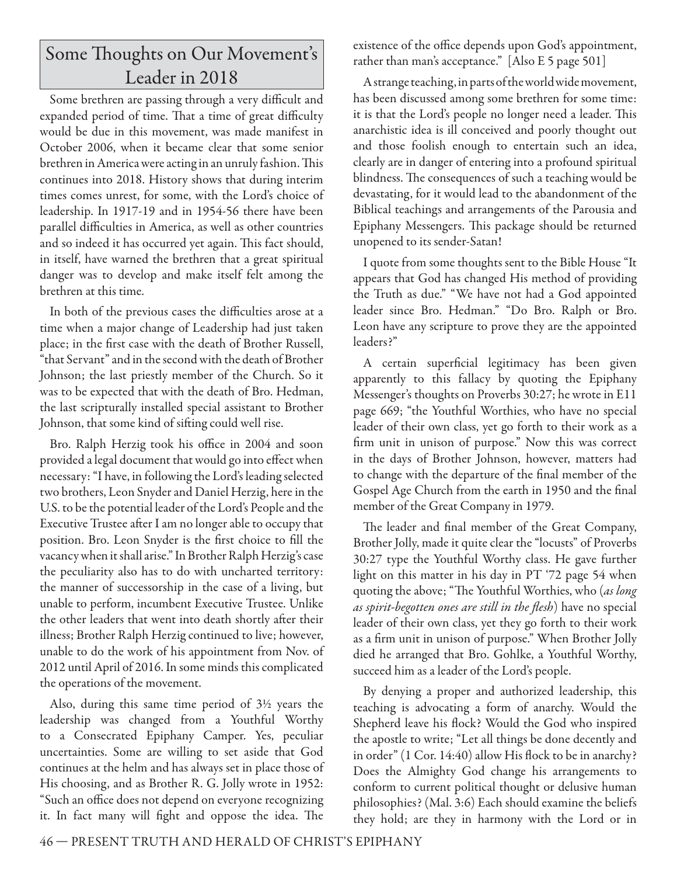# Some Thoughts on Our Movement's Leader in 2018

Some brethren are passing through a very difficult and expanded period of time. That a time of great difficulty would be due in this movement, was made manifest in October 2006, when it became clear that some senior brethren in America were acting in an unruly fashion. This continues into 2018. History shows that during interim times comes unrest, for some, with the Lord's choice of leadership. In 1917-19 and in 1954-56 there have been parallel difficulties in America, as well as other countries and so indeed it has occurred yet again. This fact should, in itself, have warned the brethren that a great spiritual danger was to develop and make itself felt among the brethren at this time.

In both of the previous cases the difficulties arose at a time when a major change of Leadership had just taken place; in the first case with the death of Brother Russell, "that Servant" and in the second with the death of Brother Johnson; the last priestly member of the Church. So it was to be expected that with the death of Bro. Hedman, the last scripturally installed special assistant to Brother Johnson, that some kind of sifting could well rise.

Bro. Ralph Herzig took his office in 2004 and soon provided a legal document that would go into effect when necessary: "I have, in following the Lord's leading selected two brothers, Leon Snyder and Daniel Herzig, here in the U.S. to be the potential leader of the Lord's People and the Executive Trustee after I am no longer able to occupy that position. Bro. Leon Snyder is the first choice to fill the vacancy when it shall arise." In Brother Ralph Herzig's case the peculiarity also has to do with uncharted territory: the manner of successorship in the case of a living, but unable to perform, incumbent Executive Trustee. Unlike the other leaders that went into death shortly after their illness; Brother Ralph Herzig continued to live; however, unable to do the work of his appointment from Nov. of 2012 until April of 2016. In some minds this complicated the operations of the movement.

Also, during this same time period of 3½ years the leadership was changed from a Youthful Worthy to a Consecrated Epiphany Camper. Yes, peculiar uncertainties. Some are willing to set aside that God continues at the helm and has always set in place those of His choosing, and as Brother R. G. Jolly wrote in 1952: "Such an office does not depend on everyone recognizing it. In fact many will fight and oppose the idea. The

existence of the office depends upon God's appointment, rather than man's acceptance." [Also E 5 page 501]

A strange teaching, in parts of the world wide movement, has been discussed among some brethren for some time: it is that the Lord's people no longer need a leader. This anarchistic idea is ill conceived and poorly thought out and those foolish enough to entertain such an idea, clearly are in danger of entering into a profound spiritual blindness. The consequences of such a teaching would be devastating, for it would lead to the abandonment of the Biblical teachings and arrangements of the Parousia and Epiphany Messengers. This package should be returned unopened to its sender-Satan!

I quote from some thoughts sent to the Bible House "It appears that God has changed His method of providing the Truth as due." "We have not had a God appointed leader since Bro. Hedman." "Do Bro. Ralph or Bro. Leon have any scripture to prove they are the appointed leaders?"

A certain superficial legitimacy has been given apparently to this fallacy by quoting the Epiphany Messenger's thoughts on Proverbs 30:27; he wrote in E11 page 669; "the Youthful Worthies, who have no special leader of their own class, yet go forth to their work as a firm unit in unison of purpose." Now this was correct in the days of Brother Johnson, however, matters had to change with the departure of the final member of the Gospel Age Church from the earth in 1950 and the final member of the Great Company in 1979.

The leader and final member of the Great Company, Brother Jolly, made it quite clear the "locusts" of Proverbs 30:27 type the Youthful Worthy class. He gave further light on this matter in his day in PT '72 page 54 when quoting the above; "The Youthful Worthies, who (as long *as spirit-begotten ones are still in the flesh*) have no special leader of their own class, yet they go forth to their work as a firm unit in unison of purpose." When Brother Jolly died he arranged that Bro. Gohlke, a Youthful Worthy, succeed him as a leader of the Lord's people.

By denying a proper and authorized leadership, this teaching is advocating a form of anarchy. Would the Shepherd leave his flock? Would the God who inspired the apostle to write; "Let all things be done decently and in order"  $(1$  Cor. 14:40) allow His flock to be in anarchy? Does the Almighty God change his arrangements to conform to current political thought or delusive human philosophies? (Mal. 3:6) Each should examine the beliefs they hold; are they in harmony with the Lord or in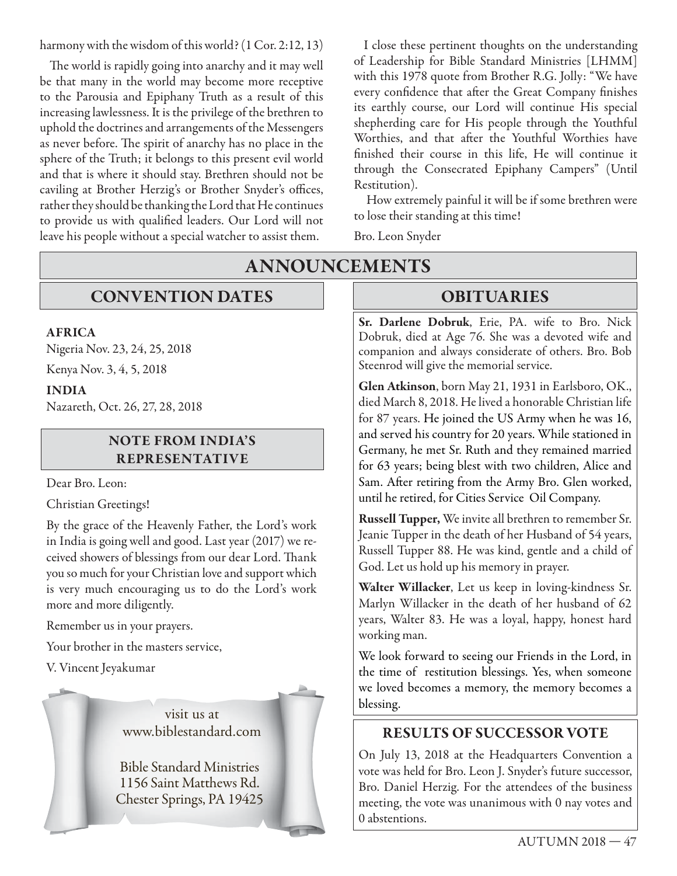harmony with the wisdom of this world? (1 Cor. 2:12, 13)

The world is rapidly going into anarchy and it may well be that many in the world may become more receptive to the Parousia and Epiphany Truth as a result of this increasing lawlessness. It is the privilege of the brethren to uphold the doctrines and arrangements of the Messengers as never before. The spirit of anarchy has no place in the sphere of the Truth; it belongs to this present evil world and that is where it should stay. Brethren should not be caviling at Brother Herzig's or Brother Snyder's offices, rather they should be thanking the Lord that He continues to provide us with qualified leaders. Our Lord will not leave his people without a special watcher to assist them.

I close these pertinent thoughts on the understanding of Leadership for Bible Standard Ministries [LHMM] with this 1978 quote from Brother R.G. Jolly: "We have every confidence that after the Great Company finishes its earthly course, our Lord will continue His special shepherding care for His people through the Youthful Worthies, and that after the Youthful Worthies have finished their course in this life, He will continue it through the Consecrated Epiphany Campers" (Until Restitution).

 How extremely painful it will be if some brethren were to lose their standing at this time!

Bro. Leon Snyder

## **CONVENTION DATES**

#### **AFRICA**

Nigeria Nov. 23, 24, 25, 2018

Kenya Nov. 3, 4, 5, 2018

#### **INDIA**

Nazareth, Oct. 26, 27, 28, 2018

#### **NOTE FROM INDIA'S REPRESENTATIVE**

Dear Bro. Leon:

Christian Greetings!

By the grace of the Heavenly Father, the Lord's work in India is going well and good. Last year (2017) we received showers of blessings from our dear Lord. Thank you so much for your Christian love and support which is very much encouraging us to do the Lord's work more and more diligently.

Remember us in your prayers.

Your brother in the masters service,

V. Vincent Jeyakumar

visit us at

Bible Standard Ministries 1156 Saint Matthews Rd. Chester Springs, PA 19425

# **ANNOUNCEMENTS**

### **OBITUARIES**

**Sr. Darlene Dobruk**, Erie, PA. wife to Bro. Nick Dobruk, died at Age 76. She was a devoted wife and companion and always considerate of others. Bro. Bob Steenrod will give the memorial service.

**Glen Atkinson**, born May 21, 1931 in Earlsboro, OK., died March 8, 2018. He lived a honorable Christian life for 87 years. He joined the US Army when he was 16, and served his country for 20 years. While stationed in Germany, he met Sr. Ruth and they remained married for 63 years; being blest with two children, Alice and Sam. After retiring from the Army Bro. Glen worked, until he retired, for Cities Service Oil Company.

**Russell Tupper,** We invite all brethren to remember Sr. Jeanie Tupper in the death of her Husband of 54 years, Russell Tupper 88. He was kind, gentle and a child of God. Let us hold up his memory in prayer.

**Walter Willacker**, Let us keep in loving-kindness Sr. Marlyn Willacker in the death of her husband of 62 years, Walter 83. He was a loyal, happy, honest hard working man.

We look forward to seeing our Friends in the Lord, in the time of restitution blessings. Yes, when someone we loved becomes a memory, the memory becomes a blessing.

### www.biblestandard.com **RESULTS OF SUCCESSOR VOTE**

On July 13, 2018 at the Headquarters Convention a vote was held for Bro. Leon J. Snyder's future successor, Bro. Daniel Herzig. For the attendees of the business meeting, the vote was unanimous with 0 nay votes and 0 abstentions.